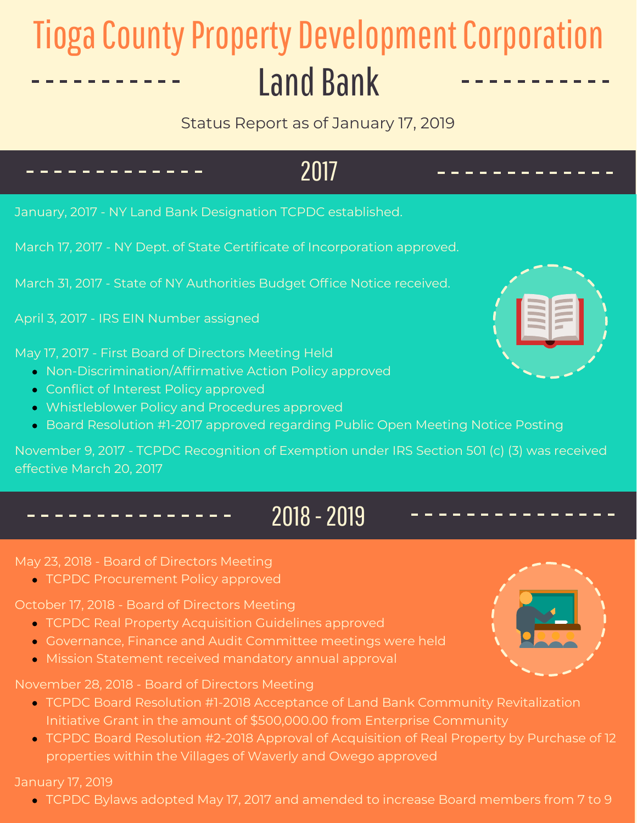# **Tioga County Property Development Corporation Land Bank**

Status Report as of January 17, 2019

## 2017

January, 2017 - NY Land Bank Designation TCPDC established.

March 17, 2017 - NY Dept. of State Certificate of Incorporation approved.

March 31, 2017 - State of NY Authorities Budget Office Notice received.

April 3, 2017 - IRS EIN Number assigned

May 17, 2017 - First Board of Directors Meeting Held

- Non-Discrimination/Affirmative Action Policy approved
- **Conflict of Interest Policy approved**
- Whistleblower Policy and Procedures approved
- Board Resolution #1-2017 approved regarding Public Open Meeting Notice Posting

November 9, 2017 - TCPDC Recognition of Exemption under IRS Section 501 (c) (3) was received effective March 20, 2017

## 2018 -2019

May 23, 2018 - Board of Directors Meeting

TCPDC Procurement Policy approved

October 17, 2018 - Board of Directors Meeting

- TCPDC Real Property Acquisition Guidelines approved
- Governance, Finance and Audit Committee meetings were held
- Mission Statement received mandatory annual approval

November 28, 2018 - Board of Directors Meeting

- TCPDC Board Resolution #1-2018 Acceptance of Land Bank Community Revitalization Initiative Grant in the amount of \$500,000.00 from Enterprise Community
- TCPDC Board Resolution #2-2018 Approval of Acquisition of Real Property by Purchase of 12 properties within the Villages of Waverly and Owego approved

January 17, 2019

TCPDC Bylaws adopted May 17, 2017 and amended to increase Board members from 7 to 9